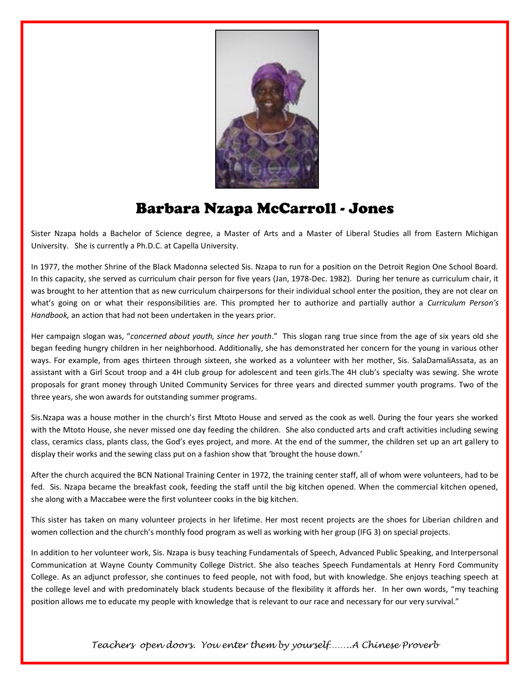

## Barbara Nzapa McCarroll - Jones

Sister Nzapa holds a Bachelor of Science degree, a Master of Arts and a Master of Liberal Studies all from Eastern Michigan University. She is currently a Ph.D.C. at Capella University.

In 1977, the mother Shrine of the Black Madonna selected Sis. Nzapa to run for a position on the Detroit Region One School Board. In this capacity, she served as curriculum chair person for five years (Jan, 1978-Dec. 1982). During her tenure as curriculum chair, it was brought to her attention that as new curriculum chairpersons for their individual school enter the position, they are not clear on what's going on or what their responsibilities are. This prompted her to authorize and partially author a *Curriculum Person's Handbook,* an action that had not been undertaken in the years prior.

Her campaign slogan was, "*concerned about youth, since her youth*." This slogan rang true since from the age of six years old she began feeding hungry children in her neighborhood. Additionally, she has demonstrated her concern for the young in various other ways. For example, from ages thirteen through sixteen, she worked as a volunteer with her mother, Sis. SalaDamaliAssata, as an assistant with a Girl Scout troop and a 4H club group for adolescent and teen girls.The 4H club's specialty was sewing. She wrote proposals for grant money through United Community Services for three years and directed summer youth programs. Two of the three years, she won awards for outstanding summer programs.

Sis.Nzapa was a house mother in the church's first Mtoto House and served as the cook as well. During the four years she worked with the Mtoto House, she never missed one day feeding the children. She also conducted arts and craft activities including sewing class, ceramics class, plants class, the God's eyes project, and more. At the end of the summer, the children set up an art gallery to display their works and the sewing class put on a fashion show that 'brought the house down.'

After the church acquired the BCN National Training Center in 1972, the training center staff, all of whom were volunteers, had to be fed. Sis. Nzapa became the breakfast cook, feeding the staff until the big kitchen opened. When the commercial kitchen opened, she along with a Maccabee were the first volunteer cooks in the big kitchen.

This sister has taken on many volunteer projects in her lifetime. Her most recent projects are the shoes for Liberian children and women collection and the church's monthly food program as well as working with her group (IFG 3) on special projects.

In addition to her volunteer work, Sis. Nzapa is busy teaching Fundamentals of Speech, Advanced Public Speaking, and Interpersonal Communication at Wayne County Community College District. She also teaches Speech Fundamentals at Henry Ford Community College. As an adjunct professor, she continues to feed people, not with food, but with knowledge. She enjoys teaching speech at the college level and with predominately black students because of the flexibility it affords her. In her own words, "my teaching position allows me to educate my people with knowledge that is relevant to our race and necessary for our very survival."

*Teachers open doors. You enter them by yourself……..A Chinese Proverb*